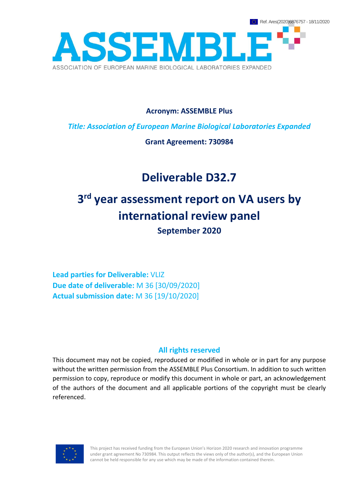

**Acronym: ASSEMBLE Plus**

*Title: Association of European Marine Biological Laboratories Expanded*

**Grant Agreement: 730984**

# **Deliverable D32.7**

# **3 rd year assessment report on VA users by international review panel September 2020**

**Lead parties for Deliverable:** VLIZ **Due date of deliverable:** M 36 [30/09/2020] **Actual submission date:** M 36 [19/10/2020]

### **All rights reserved**

This document may not be copied, reproduced or modified in whole or in part for any purpose without the written permission from the ASSEMBLE Plus Consortium. In addition to such written permission to copy, reproduce or modify this document in whole or part, an acknowledgement of the authors of the document and all applicable portions of the copyright must be clearly referenced.



This project has received funding from the European Union's Horizon 2020 research and innovation programme under grant agreement No 730984. This output reflects the views only of the author(s), and the European Union cannot be held responsible for any use which may be made of the information contained therein.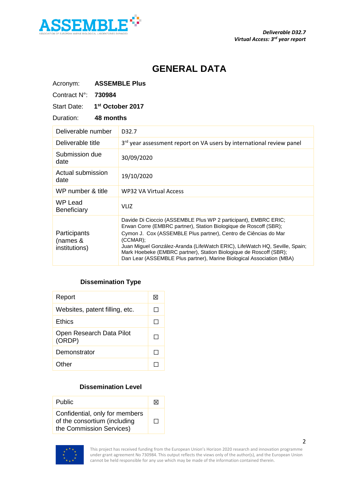

# **GENERAL DATA**

| Acronym:                                  |        | <b>ASSEMBLE Plus</b>                                                                                                                                                                                                                                                                                                                                                                                                                              |
|-------------------------------------------|--------|---------------------------------------------------------------------------------------------------------------------------------------------------------------------------------------------------------------------------------------------------------------------------------------------------------------------------------------------------------------------------------------------------------------------------------------------------|
| Contract N°:                              | 730984 |                                                                                                                                                                                                                                                                                                                                                                                                                                                   |
| <b>Start Date:</b>                        |        | 1 <sup>st</sup> October 2017                                                                                                                                                                                                                                                                                                                                                                                                                      |
| Duration:<br>48 months                    |        |                                                                                                                                                                                                                                                                                                                                                                                                                                                   |
| Deliverable number                        |        | D32.7                                                                                                                                                                                                                                                                                                                                                                                                                                             |
| Deliverable title                         |        | 3rd year assessment report on VA users by international review panel                                                                                                                                                                                                                                                                                                                                                                              |
| Submission due<br>date                    |        | 30/09/2020                                                                                                                                                                                                                                                                                                                                                                                                                                        |
| Actual submission<br>date                 |        | 19/10/2020                                                                                                                                                                                                                                                                                                                                                                                                                                        |
| WP number & title                         |        | <b>WP32 VA Virtual Access</b>                                                                                                                                                                                                                                                                                                                                                                                                                     |
| <b>WP Lead</b><br><b>Beneficiary</b>      |        | VLIZ                                                                                                                                                                                                                                                                                                                                                                                                                                              |
| Participants<br>(names &<br>institutions) |        | Davide Di Cioccio (ASSEMBLE Plus WP 2 participant), EMBRC ERIC;<br>Erwan Corre (EMBRC partner), Station Biologique de Roscoff (SBR);<br>Cymon J. Cox (ASSEMBLE Plus partner), Centro de Ciências do Mar<br>(CCMAR):<br>Juan Miguel González-Aranda (LifeWatch ERIC), LifeWatch HQ, Seville, Spain;<br>Mark Hoebeke (EMBRC partner), Station Biologique de Roscoff (SBR);<br>Dan Lear (ASSEMBLE Plus partner), Marine Biological Association (MBA) |

# **Dissemination Type**

| Report                             | ⋉              |
|------------------------------------|----------------|
| Websites, patent filling, etc.     | H              |
| <b>Ethics</b>                      | ΙI             |
| Open Research Data Pilot<br>(ORDP) | <b>Talling</b> |
| Demonstrator                       |                |
| Other                              |                |

#### **Dissemination Level**

| <b>Public</b>                                                                              | ΙXΙ |
|--------------------------------------------------------------------------------------------|-----|
| Confidential, only for members<br>of the consortium (including<br>the Commission Services) | ΙI  |



This project has received funding from the European Union's Horizon 2020 research and innovation programme under grant agreement No 730984. This output reflects the views only of the author(s), and the European Union cannot be held responsible for any use which may be made of the information contained therein.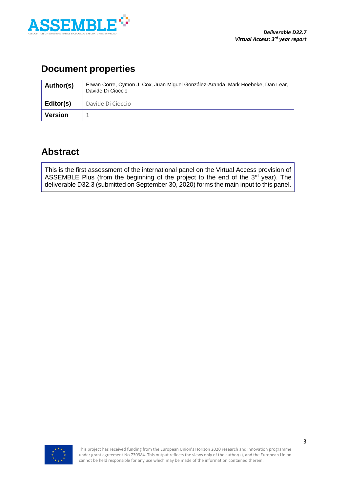

# **Document properties**

| Author(s)      | Erwan Corre, Cymon J. Cox, Juan Miguel González-Aranda, Mark Hoebeke, Dan Lear,<br>Davide Di Cioccio |  |
|----------------|------------------------------------------------------------------------------------------------------|--|
| Editor(s)      | Davide Di Cioccio                                                                                    |  |
| <b>Version</b> |                                                                                                      |  |

# **Abstract**

This is the first assessment of the international panel on the Virtual Access provision of ASSEMBLE Plus (from the beginning of the project to the end of the  $3<sup>rd</sup>$  year). The deliverable D32.3 (submitted on September 30, 2020) forms the main input to this panel.

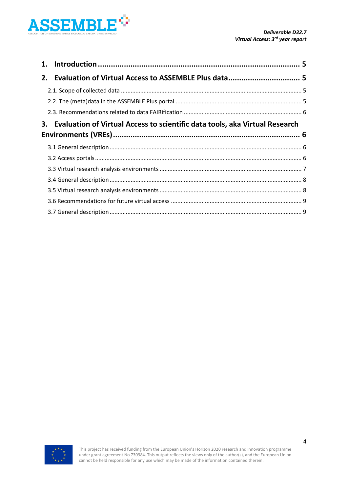

| 2. |                                                                             |  |
|----|-----------------------------------------------------------------------------|--|
|    |                                                                             |  |
|    |                                                                             |  |
|    |                                                                             |  |
| 3. | Evaluation of Virtual Access to scientific data tools, aka Virtual Research |  |
|    |                                                                             |  |
|    |                                                                             |  |
|    |                                                                             |  |
|    |                                                                             |  |
|    |                                                                             |  |
|    |                                                                             |  |
|    |                                                                             |  |
|    |                                                                             |  |

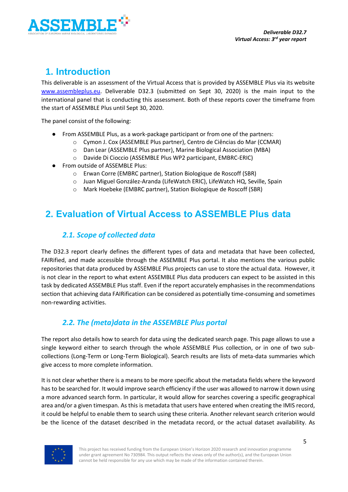

# <span id="page-4-0"></span>**1. Introduction**

This deliverable is an assessment of the Virtual Access that is provided by ASSEMBLE Plus via its website [www.assembleplus.eu.](http://www.assembleplus.eu/) Deliverable D32.3 (submitted on Sept 30, 2020) is the main input to the international panel that is conducting this assessment. Both of these reports cover the timeframe from the start of ASSEMBLE Plus until Sept 30, 2020.

The panel consist of the following:

- From ASSEMBLE Plus, as a work-package participant or from one of the partners:
	- o Cymon J. Cox (ASSEMBLE Plus partner), Centro de Ciências do Mar (CCMAR)
	- o Dan Lear (ASSEMBLE Plus partner), Marine Biological Association (MBA)
	- o Davide Di Cioccio (ASSEMBLE Plus WP2 participant, EMBRC-ERIC)
- From outside of ASSEMBLE Plus:
	- o Erwan Corre (EMBRC partner), Station Biologique de Roscoff (SBR)
	- o Juan Miguel González-Aranda (LifeWatch ERIC), LifeWatch HQ, Seville, Spain
	- o Mark Hoebeke (EMBRC partner), Station Biologique de Roscoff (SBR)

# <span id="page-4-2"></span><span id="page-4-1"></span>**2. Evaluation of Virtual Access to ASSEMBLE Plus data**

### *2.1. Scope of collected data*

The D32.3 report clearly defines the different types of data and metadata that have been collected, FAIRified, and made accessible through the ASSEMBLE Plus portal. It also mentions the various public repositories that data produced by ASSEMBLE Plus projects can use to store the actual data. However, it is not clear in the report to what extent ASSEMBLE Plus data producers can expect to be assisted in this task by dedicated ASSEMBLE Plus staff. Even if the report accurately emphasises in the recommendations section that achieving data FAIRification can be considered as potentially time-consuming and sometimes non-rewarding activities.

### *2.2. The (meta)data in the ASSEMBLE Plus portal*

<span id="page-4-3"></span>The report also details how to search for data using the dedicated search page. This page allows to use a single keyword either to search through the whole ASSEMBLE Plus collection, or in one of two subcollections (Long-Term or Long-Term Biological). Search results are lists of meta-data summaries which give access to more complete information.

It is not clear whether there is a means to be more specific about the metadata fields where the keyword has to be searched for. It would improve search efficiency if the user was allowed to narrow it down using a more advanced search form. In particular, it would allow for searches covering a specific geographical area and/or a given timespan. As this is metadata that users have entered when creating the IMIS record, it could be helpful to enable them to search using these criteria. Another relevant search criterion would be the licence of the dataset described in the metadata record, or the actual dataset availability. As

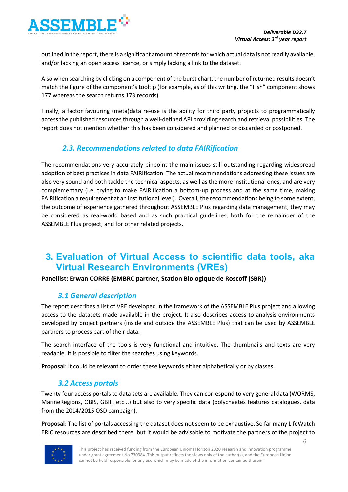

outlined in the report, there is a significant amount of records for which actual data is not readily available, and/or lacking an open access licence, or simply lacking a link to the dataset.

Also when searching by clicking on a component of the burst chart, the number of returned results doesn't match the figure of the component's tooltip (for example, as of this writing, the "Fish" component shows 177 whereas the search returns 173 records).

Finally, a factor favouring (meta)data re-use is the ability for third party projects to programmatically access the published resources through a well-defined API providing search and retrieval possibilities. The report does not mention whether this has been considered and planned or discarded or postponed.

## *2.3. Recommendations related to data FAIRification*

<span id="page-5-0"></span>The recommendations very accurately pinpoint the main issues still outstanding regarding widespread adoption of best practices in data FAIRIfication. The actual recommendations addressing these issues are also very sound and both tackle the technical aspects, as well as the more institutional ones, and are very complementary (i.e. trying to make FAIRification a bottom-up process and at the same time, making FAIRification a requirement at an institutional level). Overall, the recommendations being to some extent, the outcome of experience gathered throughout ASSEMBLE Plus regarding data management, they may be considered as real-world based and as such practical guidelines, both for the remainder of the ASSEMBLE Plus project, and for other related projects.

# <span id="page-5-1"></span>**3. Evaluation of Virtual Access to scientific data tools, aka Virtual Research Environments (VREs)**

#### <span id="page-5-2"></span>**Panellist: Erwan CORRE (EMBRC partner, Station Biologique de Roscoff (SBR))**

### *3.1 General description*

The report describes a list of VRE developed in the framework of the ASSEMBLE Plus project and allowing access to the datasets made available in the project. It also describes access to analysis environments developed by project partners (inside and outside the ASSEMBLE Plus) that can be used by ASSEMBLE partners to process part of their data.

The search interface of the tools is very functional and intuitive. The thumbnails and texts are very readable. It is possible to filter the searches using keywords.

<span id="page-5-3"></span>**Proposal**: It could be relevant to order these keywords either alphabetically or by classes.

### *3.2 Access portals*

Twenty four access portals to data sets are available. They can correspond to very general data (WORMS, MarineRegions, OBIS, GBIF, etc...) but also to very specific data (polychaetes features catalogues, data from the 2014/2015 OSD campaign).

**Proposal**: The list of portals accessing the dataset does not seem to be exhaustive. So far many LifeWatch ERIC resources are described there, but it would be advisable to motivate the partners of the project to

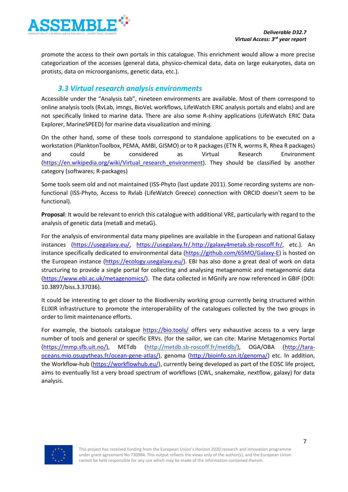

promote the access to their own portals in this catalogue. This enrichment would allow a more precise categorization of the accesses (general data, physico-chemical data, data on large eukaryotes, data on protists, data on microorganisms, genetic data, etc.).

### *3.3 Virtual research analysis environments*

<span id="page-6-0"></span>Accessible under the "Analysis tab", nineteen environments are available. Most of them correspond to online analysis tools (RvLab, imngs, BioVeL workflows, LifeWatch ERIC analysis portals and elabs) and are not specifically linked to marine data. There are also some R-shiny applications (LifeWatch ERIC Data Explorer, MarineSPEED) for marine data visualization and mining.

On the other hand, some of these tools correspond to standalone applications to be executed on a workstation (PlanktonToolbox, PEMA, AMBI, GISMO) or to R packages (ETN R, worms R, Rhea R packages) and could be considered as Virtual Research Environment (https://en.wikipedia.org/wiki/Virtual research environment). They should be classified by another category (softwares; R-packages)

Some tools seem old and not maintained (ISS-Phyto (last update 2011). Some recording systems are nonfunctional (ISS-Phyto, Access to Rvlab (LifeWatch Greece) connection with ORCID doesn't seem to be functional).

**Proposal**: It would be relevant to enrich this catalogue with additional VRE, particularly with regard to the analysis of genetic data (metaB and metaG).

For the analysis of environmental data many pipelines are available in the European and national Galaxy instances [\(https://usegalaxy.eu/,](https://usegalaxy.eu/) <https://usegalaxy.fr/>[,http://galaxy4metab.sb-roscoff.fr/,](http://galaxy4metab.sb-roscoff.fr/) etc.). An instance specifically dedicated to environmental data [\(https://github.com/65MO/Galaxy-E\)](https://github.com/65MO/Galaxy-E) is hosted on the European instance [\(https://ecology.usegalaxy.eu/\)](https://ecology.usegalaxy.eu/). EBI has also done a great deal of work on data structuring to provide a single portal for collecting and analysing metagenomic and metagenomic data [\(https://www.ebi.ac.uk/metagenomics/\)](https://www.ebi.ac.uk/metagenomics/). The data collected in MGnify are now referenced in GBIF (DOI: 10.3897/biss.3.37036).

It could be interesting to get closer to the Biodiversity working group currently being structured within ELIXIR infrastructure to promote the interoperability of the catalogues collected by the two groups in order to limit maintenance efforts.

For example, the biotools catalogue <https://bio.tools/> offers very exhaustive access to a very large number of tools and general or specific ERVs. (for the sailor, we can cite: Marine Metagenomics Portal [\(https://mmp.sfb.uit.no/\)](https://mmp.sfb.uit.no/), METdb [\(http://metdb.sb-roscoff.fr/metdb/\)](http://metdb.sb-roscoff.fr/metdb/), OGA/OBA [\(http://tara](http://tara-oceans.mio.osupytheas.fr/ocean-gene-atlas/)[oceans.mio.osupytheas.fr/ocean-gene-atlas/\)](http://tara-oceans.mio.osupytheas.fr/ocean-gene-atlas/), genoma [\(http://bioinfo.szn.it/genoma/\)](http://bioinfo.szn.it/genoma/) etc. In addition, the Workflow-hub [\(https://workflowhub.eu/\)](https://workflowhub.eu/), currently being developed as part of the EOSC life project, aims to eventually list a very broad spectrum of workflows (CWL, snakemake, nextflow, galaxy) for data analysis.

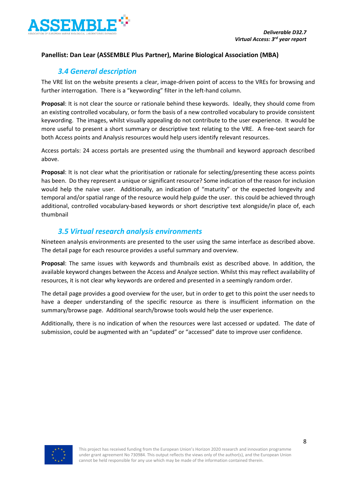

#### **Panellist: Dan Lear (ASSEMBLE Plus Partner), Marine Biological Association (MBA)**

#### <span id="page-7-0"></span>*3.4 General description*

The VRE list on the website presents a clear, image-driven point of access to the VREs for browsing and further interrogation. There is a "keywording" filter in the left-hand column.

**Proposal**: It is not clear the source or rationale behind these keywords. Ideally, they should come from an existing controlled vocabulary, or form the basis of a new controlled vocabulary to provide consistent keywording. The images, whilst visually appealing do not contribute to the user experience. It would be more useful to present a short summary or descriptive text relating to the VRE. A free-text search for both Access points and Analysis resources would help users identify relevant resources.

Access portals: 24 access portals are presented using the thumbnail and keyword approach described above.

**Proposal**: It is not clear what the prioritisation or rationale for selecting/presenting these access points has been. Do they represent a unique or significant resource? Some indication of the reason for inclusion would help the naive user. Additionally, an indication of "maturity" or the expected longevity and temporal and/or spatial range of the resource would help guide the user. this could be achieved through additional, controlled vocabulary-based keywords or short descriptive text alongside/in place of, each thumbnail

#### *3.5 Virtual research analysis environments*

<span id="page-7-1"></span>Nineteen analysis environments are presented to the user using the same interface as described above. The detail page for each resource provides a useful summary and overview.

**Proposal**: The same issues with keywords and thumbnails exist as described above. In addition, the available keyword changes between the Access and Analyze section. Whilst this may reflect availability of resources, it is not clear why keywords are ordered and presented in a seemingly random order.

The detail page provides a good overview for the user, but in order to get to this point the user needs to have a deeper understanding of the specific resource as there is insufficient information on the summary/browse page. Additional search/browse tools would help the user experience.

Additionally, there is no indication of when the resources were last accessed or updated. The date of submission, could be augmented with an "updated" or "accessed" date to improve user confidence.